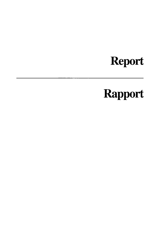## **Report**

## **Rapport**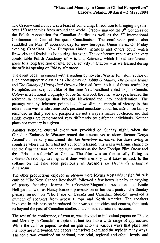## "Place and Memory in Canada: Global Perspectives" **Cracow, Poland, 30 Apríl - 3 May, 2004**

The Cracow conference was a feast of coinciding. In addition to bringing together over 150 academics from around the world, Cracow marked the 3<sup>rd</sup> Congress of the Polish Association for Canadian Studies as well as the  $3<sup>rd</sup>$  International Conference of Central European Canadianists. The conference period also straddled the May 1<sup>st</sup> accession day for new European Union states. On Friday evening Canadians, New European Union members and others could watch fireworks and festivities honouring the event. The conference venue was the very comfortable Polish Academy of Arts and Sciences, which linked conferencegoers to a long tradition of intellectual activity in Cracow - as we leamed during the official opening on Friday aftemoon.

The event began in earnest with a reading by novelist Wayne Johnston, author of such contemporary classics as *The Story of Bobby 0'Malley, The Divině Ryans*  and *The Colony of Unrequited Dreams.* He read from the last of these, reminding Europhiles and sceptics alike of the time Newfoundland voted to join Canada. *Colony* is a fictional biography of Joe Smallwood, the man who spearheaded the referendum campaign that brought Newfoundland into confederation. The passage read by Johnston pointed out how slim the margin of victory in that referendum was, while Johnston's personal anecdotes about his anti-union family reminded us that place and passports are not always a matter of choice, and that single events are remembered very differently by different individuals. Neither place nor memory is a given.

Another bonding cultural event was provided on Sunday night, when the Canadian Embassy in Warsaw rented the cinema *Ars* to show director Denys Arcanďs universally acclaimed film *Les Invasions Barbares.* For those living in countries where the film had not yet been released, this was a welcome chance to see the film that had collected such awards as the Best Foreign Film Oscar and the "Prix du scénario" at Cannes. The film was as thematically fitting as Johnston's reading, dealing as it does with memory as it takes us back to the cottage on the lake seen previously in Arcanďs *Le Déclin de UEmpire Américain.* 

The other productions enjoyed in plenum were Myrna Kostash's insightful talk entitled "The Next Canada Revisited", followed a few hours later by an evening of poetry featuring Joanna Paluszkiewicz-Magner's translations of Émile Nelligan, as well as Nancy Burke's presentation of her own poetry. The Sunday plenary session on "The Place of Canada and Canadian Studies" involved a number of speakers from across Europe and North America. The speakers involved in this session introduced their various activities and centres, then took us beyond the past of Canadian studies and considered future directions.

The rest of the conference, of course, was devoted to individual papers on "Place" and Memory in Canada", a topic that lent itself to a wide range of approaches. While the call for papers invited insights into the various ways that place and memory are intertwined, the papers themselves examined the topic in many ways. The topic was examined on national, territorial, regional and ethnic levels, and